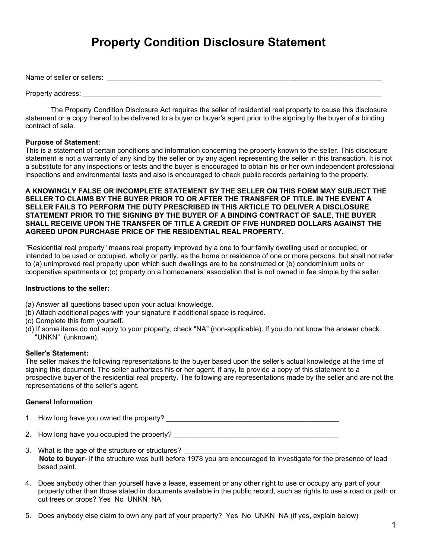# **Property Condition Disclosure Statement**

Name of seller or sellers: \_\_\_\_\_\_\_\_\_\_\_\_\_\_\_\_\_\_\_\_\_\_\_\_\_\_\_\_\_\_\_\_\_\_\_\_\_\_\_\_\_\_\_\_\_\_\_\_\_\_\_\_\_\_\_\_\_\_\_\_\_\_\_\_\_\_\_\_\_\_

## Property address: **Example 20**

The Property Condition Disclosure Act requires the seller of residential real property to cause this disclosure statement or a copy thereof to be delivered to a buyer or buyer's agent prior to the signing by the buyer of a binding contract of sale.

## **Purpose of Statement**:

This is a statement of certain conditions and information concerning the property known to the seller. This disclosure statement is not a warranty of any kind by the seller or by any agent representing the seller in this transaction. It is not a substitute for any inspections or tests and the buyer is encouraged to obtain his or her own independent professional inspections and environmental tests and also is encouraged to check public records pertaining to the property.

## **A KNOWINGLY FALSE OR INCOMPLETE STATEMENT BY THE SELLER ON THIS FORM MAY SUBJECT THE SELLER TO CLAIMS BY THE BUYER PRIOR TO OR AFTER THE TRANSFER OF TITLE. IN THE EVENT A SELLER FAILS TO PERFORM THE DUTY PRESCRIBED IN THIS ARTICLE TO DELIVER A DISCLOSURE STATEMENT PRIOR TO THE SIGNING BY THE BUYER OF A BINDING CONTRACT OF SALE, THE BUYER SHALL RECEIVE UPON THE TRANSFER OF TITLE A CREDIT OF FIVE HUNDRED DOLLARS AGAINST THE AGREED UPON PURCHASE PRICE OF THE RESIDENTIAL REAL PROPERTY.**

"Residential real property" means real property improved by a one to four family dwelling used or occupied, or intended to be used or occupied, wholly or partly, as the home or residence of one or more persons, but shall not refer to (a) unimproved real property upon which such dwellings are to be constructed or (b) condominium units or cooperative apartments or (c) property on a homeowners' association that is not owned in fee simple by the seller.

## **Instructions to the seller:**

- (a) Answer all questions based upon your actual knowledge.
- (b) Attach additional pages with your signature if additional space is required.
- (c) Complete this form yourself.
- (d) If some items do not apply to your property, check "NA" (non-applicable). If you do not know the answer check "UNKN" (unknown).

## **Seller's Statement:**

The seller makes the following representations to the buyer based upon the seller's actual knowledge at the time of signing this document. The seller authorizes his or her agent, if any, to provide a copy of this statement to a prospective buyer of the residential real property. The following are representations made by the seller and are not the representations of the seller's agent.

## **General Information**

1. How long have you owned the property? \_\_\_\_\_\_\_\_\_\_\_\_\_\_\_\_\_\_\_\_\_\_\_\_\_\_\_\_\_\_\_\_\_\_\_\_\_\_\_\_\_\_\_\_

2. How long have you occupied the property? \_\_\_\_\_\_\_\_\_\_\_\_\_\_\_\_\_\_\_\_\_\_\_\_\_\_\_\_\_\_\_\_\_\_\_\_\_\_\_\_\_\_

- 3. What is the age of the structure or structures? **Note to buyer**- If the structure was built before 1978 you are encouraged to investigate for the presence of lead based paint.
- 4. Does anybody other than yourself have a lease, easement or any other right to use or occupy any part of your property other than those stated in documents available in the public record, such as rights to use a road or path or cut trees or crops? Yes No UNKN NA
- 5. Does anybody else claim to own any part of your property? Yes No UNKN NA (if yes, explain below)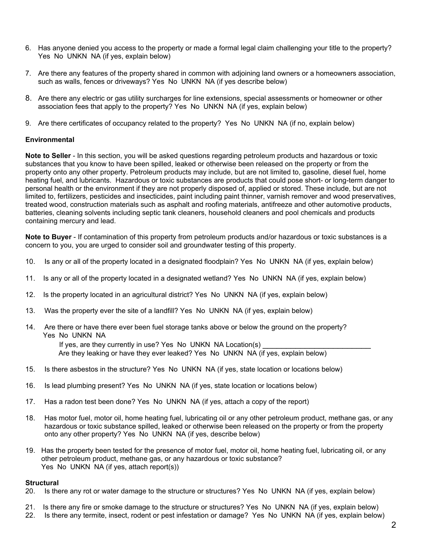- 6. Has anyone denied you access to the property or made a formal legal claim challenging your title to the property? Yes No UNKN NA (if yes, explain below)
- 7. Are there any features of the property shared in common with adjoining land owners or a homeowners association, such as walls, fences or driveways? Yes No UNKN NA (if yes describe below)
- 8. Are there any electric or gas utility surcharges for line extensions, special assessments or homeowner or other association fees that apply to the property? Yes No UNKN NA (if yes, explain below)
- 9. Are there certificates of occupancy related to the property? Yes No UNKN NA (if no, explain below)

## **Environmental**

**Note to Seller** - In this section, you will be asked questions regarding petroleum products and hazardous or toxic substances that you know to have been spilled, leaked or otherwise been released on the property or from the property onto any other property. Petroleum products may include, but are not limited to, gasoline, diesel fuel, home heating fuel, and lubricants. Hazardous or toxic substances are products that could pose short- or long-term danger to personal health or the environment if they are not properly disposed of, applied or stored. These include, but are not limited to, fertilizers, pesticides and insecticides, paint including paint thinner, varnish remover and wood preservatives, treated wood, construction materials such as asphalt and roofing materials, antifreeze and other automotive products, batteries, cleaning solvents including septic tank cleaners, household cleaners and pool chemicals and products containing mercury and lead.

**Note to Buyer** - If contamination of this property from petroleum products and/or hazardous or toxic substances is a concern to you, you are urged to consider soil and groundwater testing of this property.

- 10. Is any or all of the property located in a designated floodplain? Yes No UNKN NA (if yes, explain below)
- 11. Is any or all of the property located in a designated wetland? Yes No UNKN NA (if yes, explain below)
- 12. Is the property located in an agricultural district? Yes No UNKN NA (if yes, explain below)
- 13. Was the property ever the site of a landfill? Yes No UNKN NA (if yes, explain below)
- 14. Are there or have there ever been fuel storage tanks above or below the ground on the property? Yes No UNKN NA

If yes, are they currently in use? Yes No UNKN NA Location(s) \_\_\_\_\_\_\_\_\_\_\_\_\_\_\_\_\_\_\_\_\_\_\_ Are they leaking or have they ever leaked? Yes No UNKN NA (if yes, explain below)

- 15. Is there asbestos in the structure? Yes No UNKN NA (if yes, state location or locations below)
- 16. Is lead plumbing present? Yes No UNKN NA (if yes, state location or locations below)
- 17. Has a radon test been done? Yes No UNKN NA (if yes, attach a copy of the report)
- 18. Has motor fuel, motor oil, home heating fuel, lubricating oil or any other petroleum product, methane gas, or any hazardous or toxic substance spilled, leaked or otherwise been released on the property or from the property onto any other property? Yes No UNKN NA (if yes, describe below)
- 19. Has the property been tested for the presence of motor fuel, motor oil, home heating fuel, lubricating oil, or any other petroleum product, methane gas, or any hazardous or toxic substance? Yes No UNKN NA (if yes, attach report(s))

## **Structural**

20. Is there any rot or water damage to the structure or structures? Yes No UNKN NA (if yes, explain below)

- 21. Is there any fire or smoke damage to the structure or structures? Yes No UNKN NA (if yes, explain below)
- 22. Is there any termite, insect, rodent or pest infestation or damage? Yes No UNKN NA (if yes, explain below)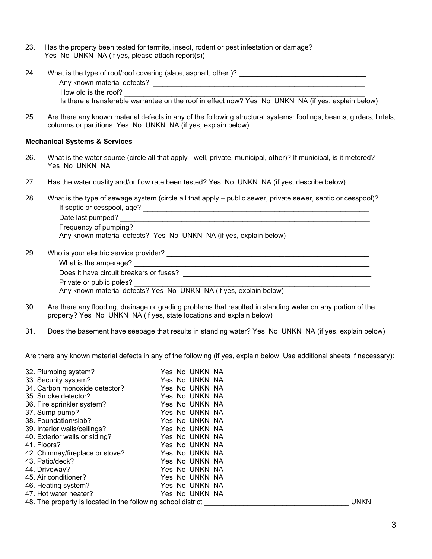- 23. Has the property been tested for termite, insect, rodent or pest infestation or damage? Yes No UNKN NA (if yes, please attach report(s))
- 24. What is the type of roof/roof covering (slate, asphalt, other.)? \_\_\_\_\_\_\_\_\_\_\_\_\_\_\_\_\_\_\_\_\_\_\_\_\_\_\_ Any known material defects? **Example 20** and the set of the set of the set of the set of the set of the set of the set of the set of the set of the set of the set of the set of the set of the set of the set of the set of t How old is the roof? Is there a transferable warrantee on the roof in effect now? Yes No UNKN NA (if yes, explain below)
- 25. Are there any known material defects in any of the following structural systems: footings, beams, girders, lintels, columns or partitions. Yes No UNKN NA (if yes, explain below)

#### **Mechanical Systems & Services**

- 26. What is the water source (circle all that apply well, private, municipal, other)? If municipal, is it metered? Yes No UNKN NA
- 27. Has the water quality and/or flow rate been tested? Yes No UNKN NA (if yes, describe below)
- 28. What is the type of sewage system (circle all that apply public sewer, private sewer, septic or cesspool)? If septic or cesspool, age? \_\_\_\_\_\_\_\_\_\_\_\_\_\_\_\_\_\_\_\_\_\_\_\_\_\_\_\_\_\_\_\_\_\_\_\_\_\_\_\_\_\_\_\_\_\_\_\_ Date last pumped?  $\Box$ Frequency of pumping? Any known material defects? Yes No UNKN NA (if yes, explain below)
- 29. Who is your electric service provider? \_\_\_\_\_\_\_\_\_\_\_\_\_\_\_\_\_\_\_\_\_\_\_\_\_\_\_\_\_\_\_\_\_\_\_\_\_\_\_\_\_\_\_

What is the amperage? \_\_\_\_\_\_\_\_\_\_\_\_\_\_\_\_\_\_\_\_\_\_\_\_\_\_\_\_\_\_\_\_\_\_\_\_\_\_\_\_\_\_\_\_\_\_\_\_\_\_

Does it have circuit breakers or fuses?

Private or public poles?

Any known material defects? Yes No UNKN NA (if yes, explain below)

- 30. Are there any flooding, drainage or grading problems that resulted in standing water on any portion of the property? Yes No UNKN NA (if yes, state locations and explain below)
- 31. Does the basement have seepage that results in standing water? Yes No UNKN NA (if yes, explain below)

Are there any known material defects in any of the following (if yes, explain below. Use additional sheets if necessary):

| 32. Plumbing system?                                         | Yes No UNKN NA |      |
|--------------------------------------------------------------|----------------|------|
| 33. Security system?                                         | Yes No UNKN NA |      |
| 34. Carbon monoxide detector?                                | Yes No UNKN NA |      |
| 35. Smoke detector?                                          | Yes No UNKN NA |      |
| 36. Fire sprinkler system?                                   | Yes No UNKN NA |      |
| 37. Sump pump?                                               | Yes No UNKN NA |      |
| 38. Foundation/slab?                                         | Yes No UNKN NA |      |
| 39. Interior walls/ceilings?                                 | Yes No UNKN NA |      |
| 40. Exterior walls or siding?                                | Yes No UNKN NA |      |
| 41. Floors?                                                  | Yes No UNKN NA |      |
| 42. Chimney/fireplace or stove?                              | Yes No UNKN NA |      |
| 43. Patio/deck?                                              | Yes No UNKN NA |      |
| 44. Driveway?                                                | Yes No UNKN NA |      |
| 45. Air conditioner?                                         | Yes No UNKN NA |      |
| 46. Heating system?                                          | Yes No UNKN NA |      |
| 47. Hot water heater?                                        | Yes No UNKN NA |      |
| 48. The property is located in the following school district |                | UNKN |
|                                                              |                |      |

3